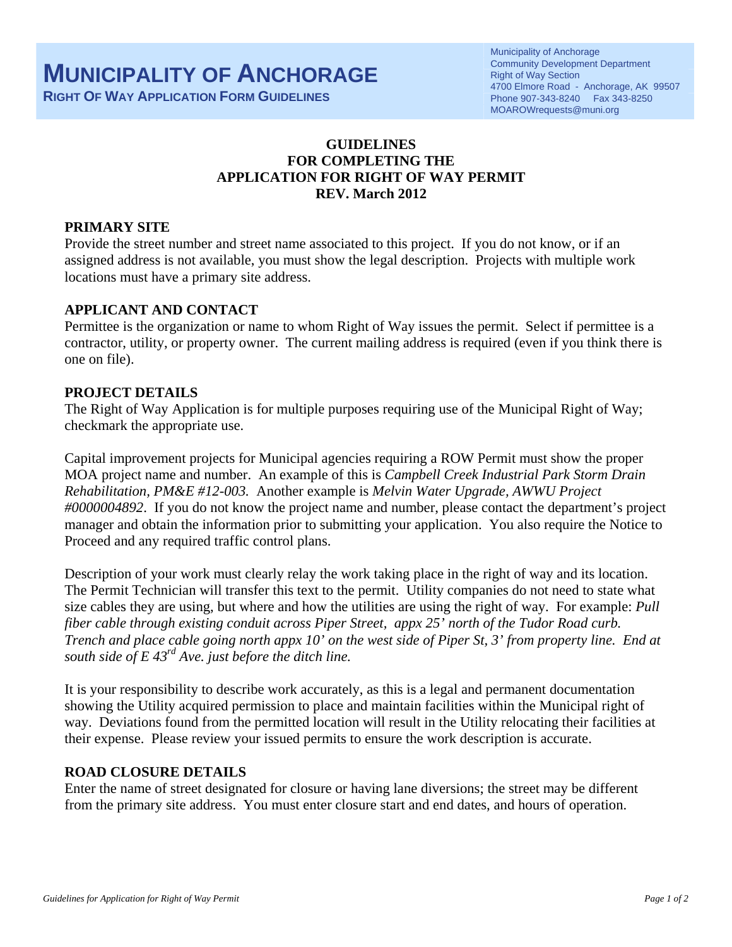**RIGHT OF WAY APPLICATION FORM GUIDELINES**

# **GUIDELINES FOR COMPLETING THE APPLICATION FOR RIGHT OF WAY PERMIT REV. March 2012**

# **PRIMARY SITE**

Provide the street number and street name associated to this project. If you do not know, or if an assigned address is not available, you must show the legal description. Projects with multiple work locations must have a primary site address.

# **APPLICANT AND CONTACT**

Permittee is the organization or name to whom Right of Way issues the permit. Select if permittee is a contractor, utility, or property owner. The current mailing address is required (even if you think there is one on file).

## **PROJECT DETAILS**

The Right of Way Application is for multiple purposes requiring use of the Municipal Right of Way; checkmark the appropriate use.

Capital improvement projects for Municipal agencies requiring a ROW Permit must show the proper MOA project name and number. An example of this is *Campbell Creek Industrial Park Storm Drain Rehabilitation, PM&E #12-003.* Another example is *Melvin Water Upgrade, AWWU Project #0000004892*. If you do not know the project name and number, please contact the department's project manager and obtain the information prior to submitting your application. You also require the Notice to Proceed and any required traffic control plans.

Description of your work must clearly relay the work taking place in the right of way and its location. The Permit Technician will transfer this text to the permit. Utility companies do not need to state what size cables they are using, but where and how the utilities are using the right of way. For example: *Pull fiber cable through existing conduit across Piper Street, appx 25' north of the Tudor Road curb. Trench and place cable going north appx 10' on the west side of Piper St, 3' from property line. End at south side of E 43rd Ave. just before the ditch line.* 

It is your responsibility to describe work accurately, as this is a legal and permanent documentation showing the Utility acquired permission to place and maintain facilities within the Municipal right of way. Deviations found from the permitted location will result in the Utility relocating their facilities at their expense. Please review your issued permits to ensure the work description is accurate.

## **ROAD CLOSURE DETAILS**

Enter the name of street designated for closure or having lane diversions; the street may be different from the primary site address. You must enter closure start and end dates, and hours of operation.